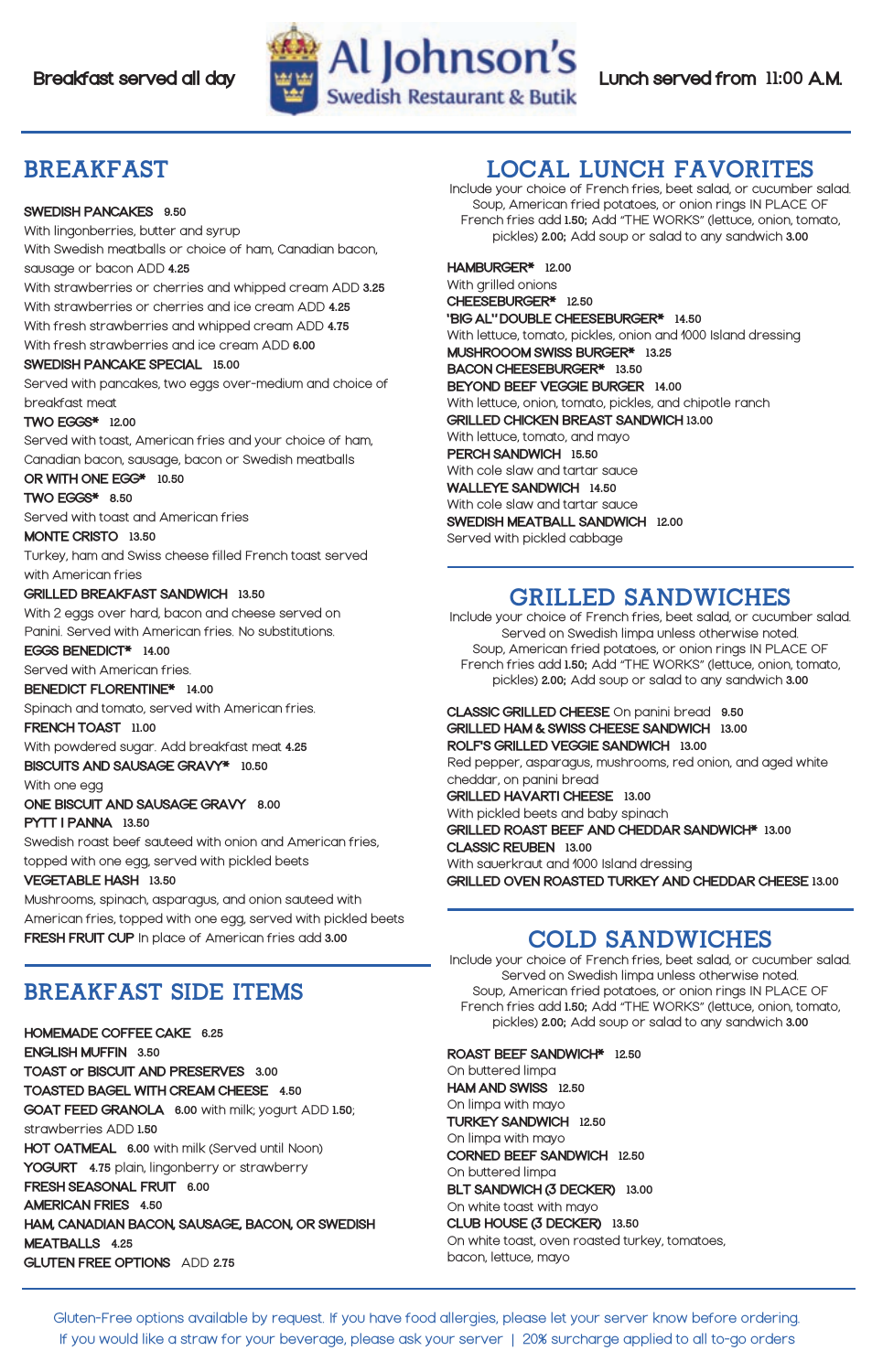# BREAKFAST

### **SWEDISH PANCAKES 9.50**

With lingonberries, butter and syrup With Swedish meatballs or choice of ham, Canadian bacon, sausage or bacon ADD 4.25 With strawberries or cherries and whipped cream ADD 3.25 With strawberries or cherries and ice cream ADD 4.25 With fresh strawberries and whipped cream ADD 4.75 With fresh strawberries and ice cream ADD 6.00 SWEDISH PANCAKE SPECIAL 15.00 Served with pancakes, two eggs over-medium and choice of

breakfast meat

#### **TWO EGGS\*** 12.00

Served with toast, American fries and your choice of ham, Canadian bacon, sausage, bacon or Swedish meatballs

### OR WITH ONE EGG\* 10.50

TWO EGGS<sup> $*$ </sup> 8.50

Served with toast and American fries

MONTE CRISTO 13.50

Turkey, ham and Swiss cheese filled French toast served with American fries

#### **GRILLED BREAKFAST SANDWICH 13.50**

With 2 eggs over hard, bacon and cheese served on

Panini. Served with American fries. No substitutions.

### EGGS BENEDICT\* 14.00

Served with American fries.

#### BENEDICT FLORENTINE\* 14.00

Spinach and tomato, served with American fries.

#### FRENCH TOAST 11.00

With powdered sugar. Add breakfast meat 4.25

BISCUITS AND SAUSAGE GRAVY\* 10.50

With one egg

ONE BISCUIT AND SAUSAGE GRAVY 8.00 PYTT I PANNA 13.50

Swedish roast beef sauteed with onion and American fries,

topped with one egg, served with pickled beets

### **VEGETABLE HASH 13.50**

Mushrooms, spinach, asparagus, and onion sauteed with American fries, topped with one egg, served with pickled beets **FRESH FRUIT CUP** In place of American fries add 3.00

# BREAKFAST SIDE ITEMS

HOMEMADE COFFEE CAKE 6.25 ENGLISH MUFFIN 3.50 TOAST or BISCUIT AND PRESERVES 3.00 TOASTED BAGEL WITH CREAM CHEESE 4.50 **GOAT FEED GRANOLA** 6.00 with milk; yogurt ADD 1.50; strawberries ADD 1.50 HOT OATMEAL 6.00 with milk (Served until Noon) **YOGURT** 4.75 plain, lingonberry or strawberry FRESH SEASONAL FRUIT 6.00 **AMERICAN FRIES 4.50** HAM, CANADIAN BACON, SAUSAGE, BACON, OR SWEDISH MEATBALLS 4.25 **GLUTEN FREE OPTIONS** ADD 2.75

# Local Lunch Favorites

Include your choice of French fries, beet salad, or cucumber salad. Soup, American fried potatoes, or onion rings IN PLACE OF French fries add 1.50; Add "THE WORKS" (lettuce, onion, tomato, pickles) 2.00; Add soup or salad to any sandwich 3.00

### HAMBURGER<sup>\*</sup> 12.00

With grilled onions CHEESEBURGER\* 12.50 **'BIG AL''DOUBLE CHEESEBURGER\*** 14.50 With lettuce, tomato, pickles, onion and 1000 Island dressing MUSHROOOM SWISS BURGER\* 13.25 BACON CHEESEBURGER\* 13.50 BEYOND BEEF VEGGIE BURGER 14.00 With lettuce, onion, tomato, pickles, and chipotle ranch **GRILLED CHICKEN BREAST SANDWICH 13.00** With lettuce, tomato, and mayo PERCH SANDWICH 15.50 With cole slaw and tartar sauce **WALLEYE SANDWICH 14.50** With cole slaw and tartar sauce SWEDISH MEATBALL SANDWICH 12.00 Served with pickled cabbage

# GRILLED SANDWICHEs

Include your choice of French fries, beet salad, or cucumber salad. Served on Swedish limpa unless otherwise noted. Soup, American fried potatoes, or onion rings IN PLACE OF French fries add 1.50; Add "THE WORKS" (lettuce, onion, tomato, pickles) 2.00; Add soup or salad to any sandwich 3.00

**CLASSIC GRILLED CHEESE** On panini bread 9.50 GRILLED HAM & SWISS CHEESE SANDWICH 13.00 ROLF'S GRILLED VEGGIE SANDWICH 13.00 Red pepper, asparagus, mushrooms, red onion, and aged white cheddar, on panini bread GRILLED HAVARTI CHEESE 13.00 With pickled beets and baby spinach GRILLED ROAST BEEF AND CHEDDAR SANDWICH\* 13.00 CLASSIC REUBEN 13.00 With sauerkraut and 1000 Island dressing GRILLED OVEN ROASTED TURKEY AND CHEDDAR CHEESE 13.00

# COLD SANDWICHES

Include your choice of French fries, beet salad, or cucumber salad. Served on Swedish limpa unless otherwise noted. Soup, American fried potatoes, or onion rings IN PLACE OF French fries add 1.50; Add "THE WORKS" (lettuce, onion, tomato, pickles) 2.00; Add soup or salad to any sandwich 3.00

ROAST BEEF SANDWICH<sup>\*</sup> 12.50 On buttered limpa

HAM AND SWISS 12.50 On limpa with mayo TURKEY SANDWICH 12.50 On limpa with mayo CORNED BEEF SANDWICH 12.50 On buttered limpa BLT SANDWICH (3 DECKER) 13.00 On white toast with mayo CLUB HOUSE (3 DECKER) 13.50 On white toast, oven roasted turkey, tomatoes, bacon, lettuce, mayo

Gluten-Free options available by request. If you have food allergies, please let your server know before ordering. If you would like a straw for your beverage, please ask your server | 20% surcharge applied to all to-go orders